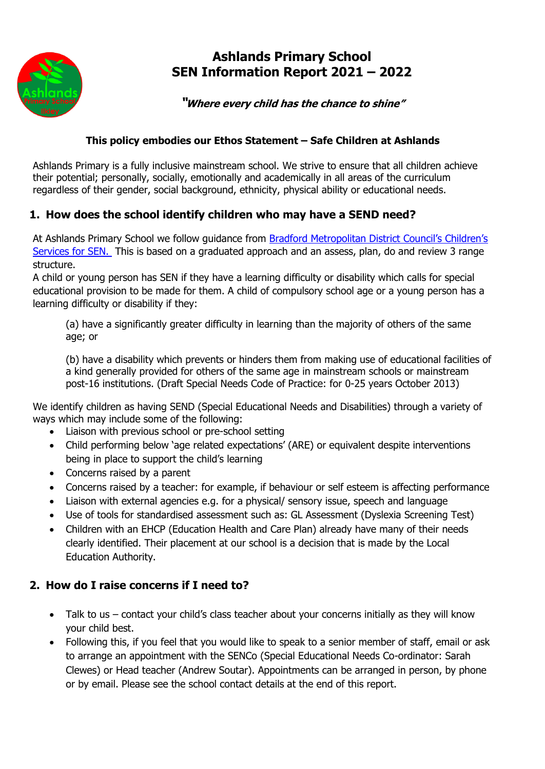

# **Ashlands Primary School SEN Information Report 2021 – 2022**

### **"Where every child has the chance to shine"**

#### **This policy embodies our Ethos Statement – Safe Children at Ashlands**

Ashlands Primary is a fully inclusive mainstream school. We strive to ensure that all children achieve their potential; personally, socially, emotionally and academically in all areas of the curriculum regardless of their gender, social background, ethnicity, physical ability or educational needs.

## **1. How does the school identify children who may have a SEND need?**

At Ashlands Primary School we follow guidance from [Bradford Metropolitan District Council's Children's](https://bso.bradford.gov.uk/Schools/CMSPage.aspx?mid=2101)  [Services for SEN.](https://bso.bradford.gov.uk/Schools/CMSPage.aspx?mid=2101) This is based on a graduated approach and an assess, plan, do and review 3 range structure.

A child or young person has SEN if they have a learning difficulty or disability which calls for special educational provision to be made for them. A child of compulsory school age or a young person has a learning difficulty or disability if they:

(a) have a significantly greater difficulty in learning than the majority of others of the same age; or

(b) have a disability which prevents or hinders them from making use of educational facilities of a kind generally provided for others of the same age in mainstream schools or mainstream post-16 institutions. (Draft Special Needs Code of Practice: for 0-25 years October 2013)

We identify children as having SEND (Special Educational Needs and Disabilities) through a variety of ways which may include some of the following:

- Liaison with previous school or pre-school setting
- Child performing below 'age related expectations' (ARE) or equivalent despite interventions being in place to support the child's learning
- Concerns raised by a parent
- Concerns raised by a teacher: for example, if behaviour or self esteem is affecting performance
- Liaison with external agencies e.g. for a physical/ sensory issue, speech and language
- Use of tools for standardised assessment such as: GL Assessment (Dyslexia Screening Test)
- Children with an EHCP (Education Health and Care Plan) already have many of their needs clearly identified. Their placement at our school is a decision that is made by the Local Education Authority.

## **2. How do I raise concerns if I need to?**

- Talk to us contact your child's class teacher about your concerns initially as they will know your child best.
- Following this, if you feel that you would like to speak to a senior member of staff, email or ask to arrange an appointment with the SENCo (Special Educational Needs Co-ordinator: Sarah Clewes) or Head teacher (Andrew Soutar). Appointments can be arranged in person, by phone or by email. Please see the school contact details at the end of this report.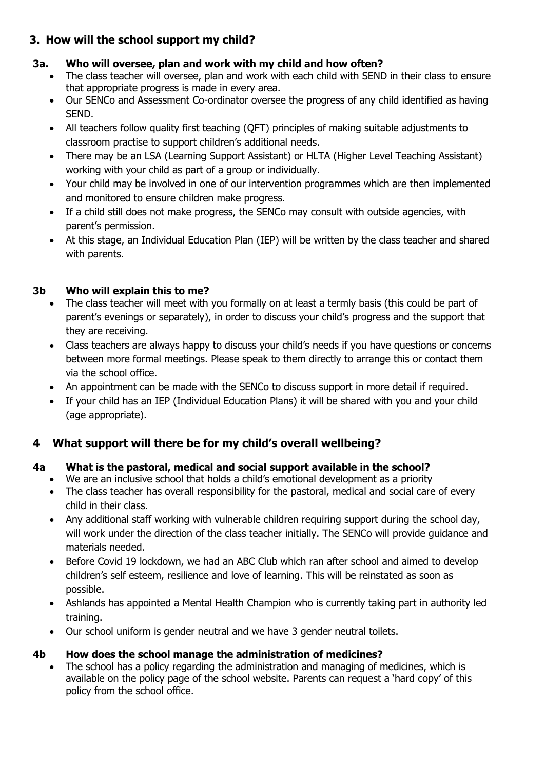## **3. How will the school support my child?**

### **3a. Who will oversee, plan and work with my child and how often?**

- The class teacher will oversee, plan and work with each child with SEND in their class to ensure that appropriate progress is made in every area.
- Our SENCo and Assessment Co-ordinator oversee the progress of any child identified as having SEND.
- All teachers follow quality first teaching (QFT) principles of making suitable adjustments to classroom practise to support children's additional needs.
- There may be an LSA (Learning Support Assistant) or HLTA (Higher Level Teaching Assistant) working with your child as part of a group or individually.
- Your child may be involved in one of our intervention programmes which are then implemented and monitored to ensure children make progress.
- If a child still does not make progress, the SENCo may consult with outside agencies, with parent's permission.
- At this stage, an Individual Education Plan (IEP) will be written by the class teacher and shared with parents.

### **3b Who will explain this to me?**

- The class teacher will meet with you formally on at least a termly basis (this could be part of parent's evenings or separately), in order to discuss your child's progress and the support that they are receiving.
- Class teachers are always happy to discuss your child's needs if you have questions or concerns between more formal meetings. Please speak to them directly to arrange this or contact them via the school office.
- An appointment can be made with the SENCo to discuss support in more detail if required.
- If your child has an IEP (Individual Education Plans) it will be shared with you and your child (age appropriate).

# **4 What support will there be for my child's overall wellbeing?**

#### **4a What is the pastoral, medical and social support available in the school?**

- We are an inclusive school that holds a child's emotional development as a priority
- The class teacher has overall responsibility for the pastoral, medical and social care of every child in their class.
- Any additional staff working with vulnerable children requiring support during the school day, will work under the direction of the class teacher initially. The SENCo will provide guidance and materials needed.
- Before Covid 19 lockdown, we had an ABC Club which ran after school and aimed to develop children's self esteem, resilience and love of learning. This will be reinstated as soon as possible.
- Ashlands has appointed a Mental Health Champion who is currently taking part in authority led training.
- Our school uniform is gender neutral and we have 3 gender neutral toilets.

## **4b How does the school manage the administration of medicines?**

• The school has a policy regarding the administration and managing of medicines, which is available on the policy page of the school website. Parents can request a 'hard copy' of this policy from the school office.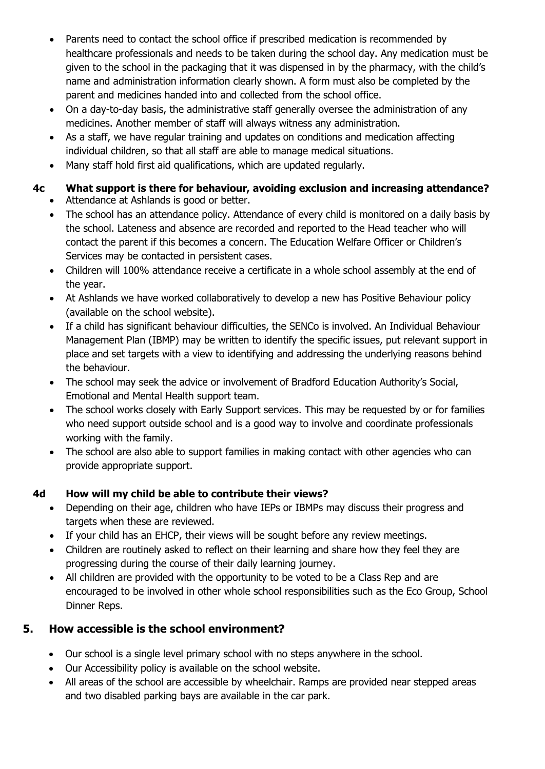- Parents need to contact the school office if prescribed medication is recommended by healthcare professionals and needs to be taken during the school day. Any medication must be given to the school in the packaging that it was dispensed in by the pharmacy, with the child's name and administration information clearly shown. A form must also be completed by the parent and medicines handed into and collected from the school office.
- On a day-to-day basis, the administrative staff generally oversee the administration of any medicines. Another member of staff will always witness any administration.
- As a staff, we have regular training and updates on conditions and medication affecting individual children, so that all staff are able to manage medical situations.
- Many staff hold first aid qualifications, which are updated regularly.

# **4c What support is there for behaviour, avoiding exclusion and increasing attendance?**

- Attendance at Ashlands is good or better.
- The school has an attendance policy. Attendance of every child is monitored on a daily basis by the school. Lateness and absence are recorded and reported to the Head teacher who will contact the parent if this becomes a concern. The Education Welfare Officer or Children's Services may be contacted in persistent cases.
- Children will 100% attendance receive a certificate in a whole school assembly at the end of the year.
- At Ashlands we have worked collaboratively to develop a new has Positive Behaviour policy (available on the school website).
- If a child has significant behaviour difficulties, the SENCo is involved. An Individual Behaviour Management Plan (IBMP) may be written to identify the specific issues, put relevant support in place and set targets with a view to identifying and addressing the underlying reasons behind the behaviour.
- The school may seek the advice or involvement of Bradford Education Authority's Social, Emotional and Mental Health support team.
- The school works closely with Early Support services. This may be requested by or for families who need support outside school and is a good way to involve and coordinate professionals working with the family.
- The school are also able to support families in making contact with other agencies who can provide appropriate support.

# **4d How will my child be able to contribute their views?**

- Depending on their age, children who have IEPs or IBMPs may discuss their progress and targets when these are reviewed.
- If your child has an EHCP, their views will be sought before any review meetings.
- Children are routinely asked to reflect on their learning and share how they feel they are progressing during the course of their daily learning journey.
- All children are provided with the opportunity to be voted to be a Class Rep and are encouraged to be involved in other whole school responsibilities such as the Eco Group, School Dinner Reps.

# **5. How accessible is the school environment?**

- Our school is a single level primary school with no steps anywhere in the school.
- Our Accessibility policy is available on the school website.
- All areas of the school are accessible by wheelchair. Ramps are provided near stepped areas and two disabled parking bays are available in the car park.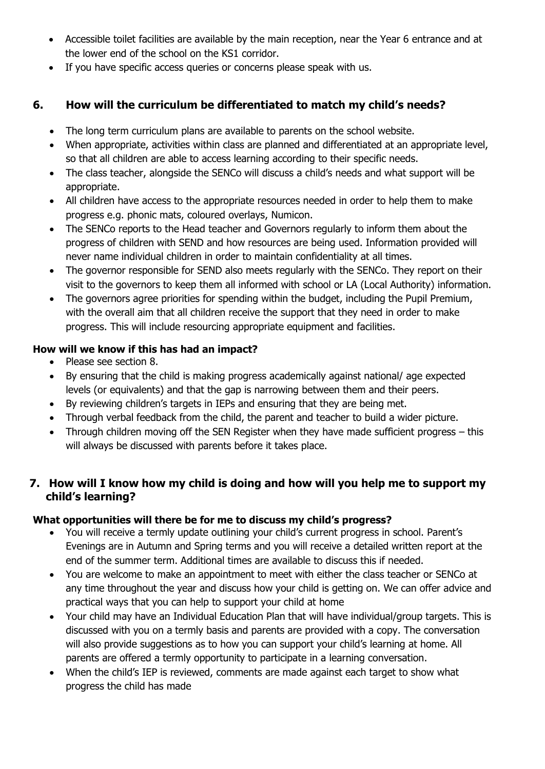- Accessible toilet facilities are available by the main reception, near the Year 6 entrance and at the lower end of the school on the KS1 corridor.
- If you have specific access queries or concerns please speak with us.

## **6. How will the curriculum be differentiated to match my child's needs?**

- The long term curriculum plans are available to parents on the school website.
- When appropriate, activities within class are planned and differentiated at an appropriate level, so that all children are able to access learning according to their specific needs.
- The class teacher, alongside the SENCo will discuss a child's needs and what support will be appropriate.
- All children have access to the appropriate resources needed in order to help them to make progress e.g. phonic mats, coloured overlays, Numicon.
- The SENCo reports to the Head teacher and Governors regularly to inform them about the progress of children with SEND and how resources are being used. Information provided will never name individual children in order to maintain confidentiality at all times.
- The governor responsible for SEND also meets regularly with the SENCo. They report on their visit to the governors to keep them all informed with school or LA (Local Authority) information.
- The governors agree priorities for spending within the budget, including the Pupil Premium, with the overall aim that all children receive the support that they need in order to make progress. This will include resourcing appropriate equipment and facilities.

### **How will we know if this has had an impact?**

- Please see section 8.
- By ensuring that the child is making progress academically against national/ age expected levels (or equivalents) and that the gap is narrowing between them and their peers.
- By reviewing children's targets in IEPs and ensuring that they are being met.
- Through verbal feedback from the child, the parent and teacher to build a wider picture.
- Through children moving off the SEN Register when they have made sufficient progress this will always be discussed with parents before it takes place.

## **7. How will I know how my child is doing and how will you help me to support my child's learning?**

## **What opportunities will there be for me to discuss my child's progress?**

- You will receive a termly update outlining your child's current progress in school. Parent's Evenings are in Autumn and Spring terms and you will receive a detailed written report at the end of the summer term. Additional times are available to discuss this if needed.
- You are welcome to make an appointment to meet with either the class teacher or SENCo at any time throughout the year and discuss how your child is getting on. We can offer advice and practical ways that you can help to support your child at home
- Your child may have an Individual Education Plan that will have individual/group targets. This is discussed with you on a termly basis and parents are provided with a copy. The conversation will also provide suggestions as to how you can support your child's learning at home. All parents are offered a termly opportunity to participate in a learning conversation.
- When the child's IEP is reviewed, comments are made against each target to show what progress the child has made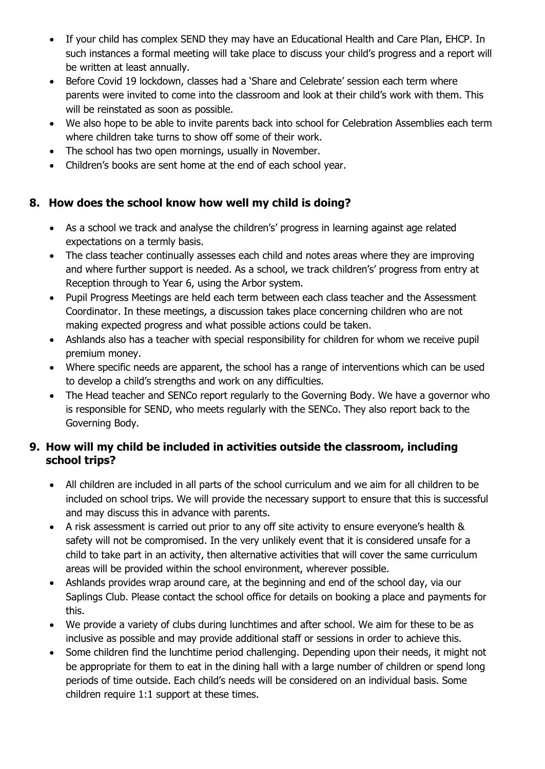- If your child has complex SEND they may have an Educational Health and Care Plan, EHCP. In such instances a formal meeting will take place to discuss your child's progress and a report will be written at least annually.
- Before Covid 19 lockdown, classes had a 'Share and Celebrate' session each term where parents were invited to come into the classroom and look at their child's work with them. This will be reinstated as soon as possible.
- We also hope to be able to invite parents back into school for Celebration Assemblies each term where children take turns to show off some of their work.
- The school has two open mornings, usually in November.
- Children's books are sent home at the end of each school year.

## **8. How does the school know how well my child is doing?**

- As a school we track and analyse the children's' progress in learning against age related expectations on a termly basis.
- The class teacher continually assesses each child and notes areas where they are improving and where further support is needed. As a school, we track children's' progress from entry at Reception through to Year 6, using the Arbor system.
- Pupil Progress Meetings are held each term between each class teacher and the Assessment Coordinator. In these meetings, a discussion takes place concerning children who are not making expected progress and what possible actions could be taken.
- Ashlands also has a teacher with special responsibility for children for whom we receive pupil premium money.
- Where specific needs are apparent, the school has a range of interventions which can be used to develop a child's strengths and work on any difficulties.
- The Head teacher and SENCo report regularly to the Governing Body. We have a governor who is responsible for SEND, who meets regularly with the SENCo. They also report back to the Governing Body.

## **9. How will my child be included in activities outside the classroom, including school trips?**

- All children are included in all parts of the school curriculum and we aim for all children to be included on school trips. We will provide the necessary support to ensure that this is successful and may discuss this in advance with parents.
- A risk assessment is carried out prior to any off site activity to ensure everyone's health & safety will not be compromised. In the very unlikely event that it is considered unsafe for a child to take part in an activity, then alternative activities that will cover the same curriculum areas will be provided within the school environment, wherever possible.
- Ashlands provides wrap around care, at the beginning and end of the school day, via our Saplings Club. Please contact the school office for details on booking a place and payments for this.
- We provide a variety of clubs during lunchtimes and after school. We aim for these to be as inclusive as possible and may provide additional staff or sessions in order to achieve this.
- Some children find the lunchtime period challenging. Depending upon their needs, it might not be appropriate for them to eat in the dining hall with a large number of children or spend long periods of time outside. Each child's needs will be considered on an individual basis. Some children require 1:1 support at these times.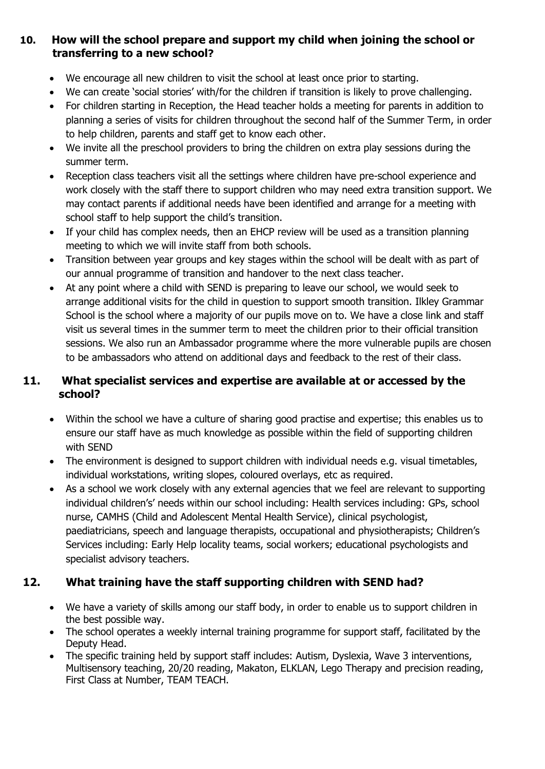#### **10. How will the school prepare and support my child when joining the school or transferring to a new school?**

- We encourage all new children to visit the school at least once prior to starting.
- We can create 'social stories' with/for the children if transition is likely to prove challenging.
- For children starting in Reception, the Head teacher holds a meeting for parents in addition to planning a series of visits for children throughout the second half of the Summer Term, in order to help children, parents and staff get to know each other.
- We invite all the preschool providers to bring the children on extra play sessions during the summer term.
- Reception class teachers visit all the settings where children have pre-school experience and work closely with the staff there to support children who may need extra transition support. We may contact parents if additional needs have been identified and arrange for a meeting with school staff to help support the child's transition.
- If your child has complex needs, then an EHCP review will be used as a transition planning meeting to which we will invite staff from both schools.
- Transition between year groups and key stages within the school will be dealt with as part of our annual programme of transition and handover to the next class teacher.
- At any point where a child with SEND is preparing to leave our school, we would seek to arrange additional visits for the child in question to support smooth transition. Ilkley Grammar School is the school where a majority of our pupils move on to. We have a close link and staff visit us several times in the summer term to meet the children prior to their official transition sessions. We also run an Ambassador programme where the more vulnerable pupils are chosen to be ambassadors who attend on additional days and feedback to the rest of their class.

## **11. What specialist services and expertise are available at or accessed by the school?**

- Within the school we have a culture of sharing good practise and expertise; this enables us to ensure our staff have as much knowledge as possible within the field of supporting children with SEND
- The environment is designed to support children with individual needs e.g. visual timetables, individual workstations, writing slopes, coloured overlays, etc as required.
- As a school we work closely with any external agencies that we feel are relevant to supporting individual children's' needs within our school including: Health services including: GPs, school nurse, CAMHS (Child and Adolescent Mental Health Service), clinical psychologist, paediatricians, speech and language therapists, occupational and physiotherapists; Children's Services including: Early Help locality teams, social workers; educational psychologists and specialist advisory teachers.

# **12. What training have the staff supporting children with SEND had?**

- We have a variety of skills among our staff body, in order to enable us to support children in the best possible way.
- The school operates a weekly internal training programme for support staff, facilitated by the Deputy Head.
- The specific training held by support staff includes: Autism, Dyslexia, Wave 3 interventions, Multisensory teaching, 20/20 reading, Makaton, ELKLAN, Lego Therapy and precision reading, First Class at Number, TEAM TEACH.